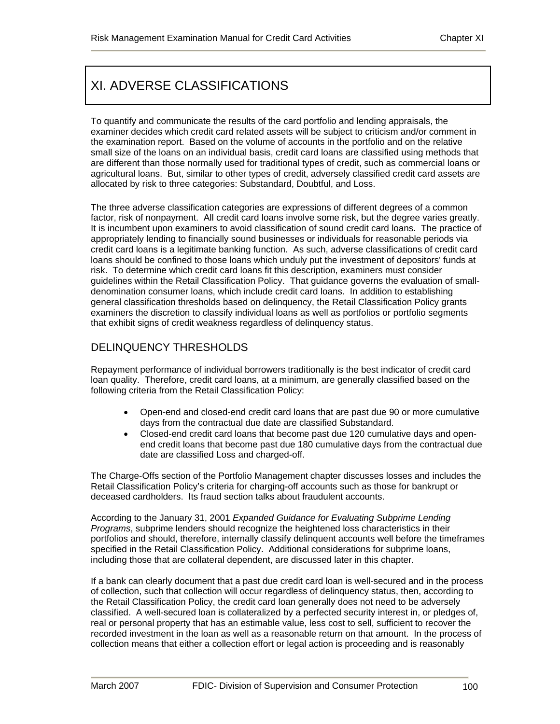# XI. ADVERSE CLASSIFICATIONS

To quantify and communicate the results of the card portfolio and lending appraisals, the examiner decides which credit card related assets will be subject to criticism and/or comment in the examination report. Based on the volume of accounts in the portfolio and on the relative small size of the loans on an individual basis, credit card loans are classified using methods that are different than those normally used for traditional types of credit, such as commercial loans or agricultural loans. But, similar to other types of credit, adversely classified credit card assets are allocated by risk to three categories: Substandard, Doubtful, and Loss.

The three adverse classification categories are expressions of different degrees of a common factor, risk of nonpayment. All credit card loans involve some risk, but the degree varies greatly. It is incumbent upon examiners to avoid classification of sound credit card loans. The practice of appropriately lending to financially sound businesses or individuals for reasonable periods via credit card loans is a legitimate banking function. As such, adverse classifications of credit card loans should be confined to those loans which unduly put the investment of depositors' funds at risk. To determine which credit card loans fit this description, examiners must consider guidelines within the Retail Classification Policy. That guidance governs the evaluation of smalldenomination consumer loans, which include credit card loans. In addition to establishing general classification thresholds based on delinquency, the Retail Classification Policy grants examiners the discretion to classify individual loans as well as portfolios or portfolio segments that exhibit signs of credit weakness regardless of delinquency status.

# DELINQUENCY THRESHOLDS

Repayment performance of individual borrowers traditionally is the best indicator of credit card loan quality. Therefore, credit card loans, at a minimum, are generally classified based on the following criteria from the Retail Classification Policy:

- Open-end and closed-end credit card loans that are past due 90 or more cumulative days from the contractual due date are classified Substandard.
- Closed-end credit card loans that become past due 120 cumulative days and openend credit loans that become past due 180 cumulative days from the contractual due date are classified Loss and charged-off.

The Charge-Offs section of the Portfolio Management chapter discusses losses and includes the Retail Classification Policy's criteria for charging-off accounts such as those for bankrupt or deceased cardholders. Its fraud section talks about fraudulent accounts.

According to the January 31, 2001 *Expanded Guidance for Evaluating Subprime Lending Programs*, subprime lenders should recognize the heightened loss characteristics in their portfolios and should, therefore, internally classify delinquent accounts well before the timeframes specified in the Retail Classification Policy. Additional considerations for subprime loans, including those that are collateral dependent, are discussed later in this chapter.

If a bank can clearly document that a past due credit card loan is well-secured and in the process of collection, such that collection will occur regardless of delinquency status, then, according to the Retail Classification Policy, the credit card loan generally does not need to be adversely classified. A well-secured loan is collateralized by a perfected security interest in, or pledges of, real or personal property that has an estimable value, less cost to sell, sufficient to recover the recorded investment in the loan as well as a reasonable return on that amount. In the process of collection means that either a collection effort or legal action is proceeding and is reasonably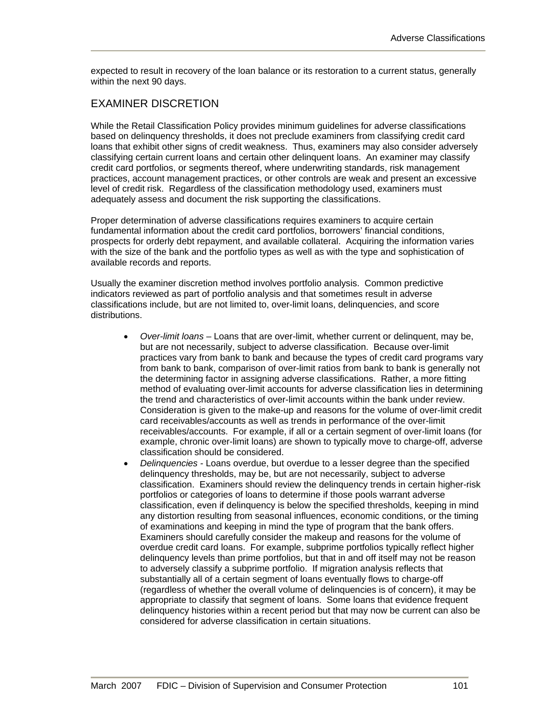expected to result in recovery of the loan balance or its restoration to a current status, generally within the next 90 days.

### EXAMINER DISCRETION

While the Retail Classification Policy provides minimum guidelines for adverse classifications based on delinquency thresholds, it does not preclude examiners from classifying credit card loans that exhibit other signs of credit weakness. Thus, examiners may also consider adversely classifying certain current loans and certain other delinquent loans. An examiner may classify credit card portfolios, or segments thereof, where underwriting standards, risk management practices, account management practices, or other controls are weak and present an excessive level of credit risk. Regardless of the classification methodology used, examiners must adequately assess and document the risk supporting the classifications.

Proper determination of adverse classifications requires examiners to acquire certain fundamental information about the credit card portfolios, borrowers' financial conditions, prospects for orderly debt repayment, and available collateral. Acquiring the information varies with the size of the bank and the portfolio types as well as with the type and sophistication of available records and reports.

Usually the examiner discretion method involves portfolio analysis. Common predictive indicators reviewed as part of portfolio analysis and that sometimes result in adverse classifications include, but are not limited to, over-limit loans, delinquencies, and score distributions.

- *Over-limit loans* Loans that are over-limit, whether current or delinquent, may be, but are not necessarily, subject to adverse classification. Because over-limit practices vary from bank to bank and because the types of credit card programs vary from bank to bank, comparison of over-limit ratios from bank to bank is generally not the determining factor in assigning adverse classifications. Rather, a more fitting method of evaluating over-limit accounts for adverse classification lies in determining the trend and characteristics of over-limit accounts within the bank under review. Consideration is given to the make-up and reasons for the volume of over-limit credit card receivables/accounts as well as trends in performance of the over-limit receivables/accounts. For example, if all or a certain segment of over-limit loans (for example, chronic over-limit loans) are shown to typically move to charge-off, adverse classification should be considered.
- *Delinquencies* Loans overdue, but overdue to a lesser degree than the specified delinquency thresholds, may be, but are not necessarily, subject to adverse classification. Examiners should review the delinquency trends in certain higher-risk portfolios or categories of loans to determine if those pools warrant adverse classification, even if delinquency is below the specified thresholds, keeping in mind any distortion resulting from seasonal influences, economic conditions, or the timing of examinations and keeping in mind the type of program that the bank offers. Examiners should carefully consider the makeup and reasons for the volume of overdue credit card loans. For example, subprime portfolios typically reflect higher delinquency levels than prime portfolios, but that in and off itself may not be reason to adversely classify a subprime portfolio. If migration analysis reflects that substantially all of a certain segment of loans eventually flows to charge-off (regardless of whether the overall volume of delinquencies is of concern), it may be appropriate to classify that segment of loans. Some loans that evidence frequent delinquency histories within a recent period but that may now be current can also be considered for adverse classification in certain situations.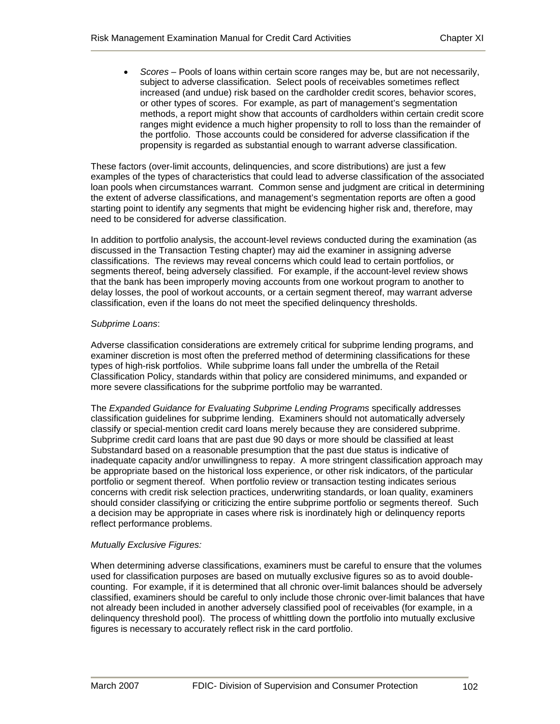• *Scores –* Pools of loans within certain score ranges may be, but are not necessarily, subject to adverse classification. Select pools of receivables sometimes reflect increased (and undue) risk based on the cardholder credit scores, behavior scores, or other types of scores. For example, as part of management's segmentation methods, a report might show that accounts of cardholders within certain credit score ranges might evidence a much higher propensity to roll to loss than the remainder of the portfolio. Those accounts could be considered for adverse classification if the propensity is regarded as substantial enough to warrant adverse classification.

These factors (over-limit accounts, delinquencies, and score distributions) are just a few examples of the types of characteristics that could lead to adverse classification of the associated loan pools when circumstances warrant. Common sense and judgment are critical in determining the extent of adverse classifications, and management's segmentation reports are often a good starting point to identify any segments that might be evidencing higher risk and, therefore, may need to be considered for adverse classification.

In addition to portfolio analysis, the account-level reviews conducted during the examination (as discussed in the Transaction Testing chapter) may aid the examiner in assigning adverse classifications. The reviews may reveal concerns which could lead to certain portfolios, or segments thereof, being adversely classified. For example, if the account-level review shows that the bank has been improperly moving accounts from one workout program to another to delay losses, the pool of workout accounts, or a certain segment thereof, may warrant adverse classification, even if the loans do not meet the specified delinquency thresholds.

#### *Subprime Loans*:

Adverse classification considerations are extremely critical for subprime lending programs, and examiner discretion is most often the preferred method of determining classifications for these types of high-risk portfolios. While subprime loans fall under the umbrella of the Retail Classification Policy, standards within that policy are considered minimums, and expanded or more severe classifications for the subprime portfolio may be warranted.

The *Expanded Guidance for Evaluating Subprime Lending Programs* specifically addresses classification guidelines for subprime lending. Examiners should not automatically adversely classify or special-mention credit card loans merely because they are considered subprime. Subprime credit card loans that are past due 90 days or more should be classified at least Substandard based on a reasonable presumption that the past due status is indicative of inadequate capacity and/or unwillingness to repay. A more stringent classification approach may be appropriate based on the historical loss experience, or other risk indicators, of the particular portfolio or segment thereof. When portfolio review or transaction testing indicates serious concerns with credit risk selection practices, underwriting standards, or loan quality, examiners should consider classifying or criticizing the entire subprime portfolio or segments thereof. Such a decision may be appropriate in cases where risk is inordinately high or delinquency reports reflect performance problems.

#### *Mutually Exclusive Figures:*

When determining adverse classifications, examiners must be careful to ensure that the volumes used for classification purposes are based on mutually exclusive figures so as to avoid doublecounting. For example, if it is determined that all chronic over-limit balances should be adversely classified, examiners should be careful to only include those chronic over-limit balances that have not already been included in another adversely classified pool of receivables (for example, in a delinquency threshold pool). The process of whittling down the portfolio into mutually exclusive figures is necessary to accurately reflect risk in the card portfolio.